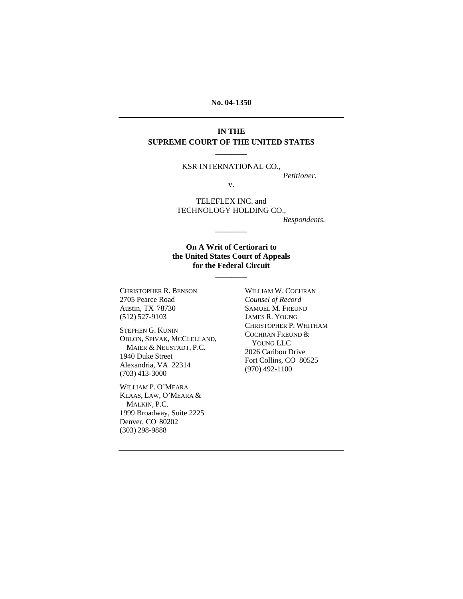#### **No. 04-1350**

### **IN THE SUPREME COURT OF THE UNITED STATES \_\_\_\_\_\_\_\_**

#### KSR INTERNATIONAL CO.,

*Petitioner,* 

v.

TELEFLEX INC. and TECHNOLOGY HOLDING CO.,

*Respondents.* 

#### **On A Writ of Certiorari to the United States Court of Appeals for the Federal Circuit**

\_\_\_\_\_\_\_\_

\_\_\_\_\_\_\_\_

CHRISTOPHER R. BENSON 2705 Pearce Road Austin, TX 78730 (512) 527-9103

STEPHEN G. KUNIN OBLON, SPIVAK, MCCLELLAND, MAIER & NEUSTADT, P.C. 1940 Duke Street Alexandria, VA 22314 (703) 413-3000

WILLIAM P. O'MEARA KLAAS, LAW, O'MEARA & MALKIN, P.C. 1999 Broadway, Suite 2225 Denver, CO 80202 (303) 298-9888

WILLIAM W. COCHRAN *Counsel of Record*  SAMUEL M. FREUND JAMES R. YOUNG CHRISTOPHER P. WHITHAM COCHRAN FREUND & YOUNG LLC 2026 Caribou Drive Fort Collins, CO 80525 (970) 492-1100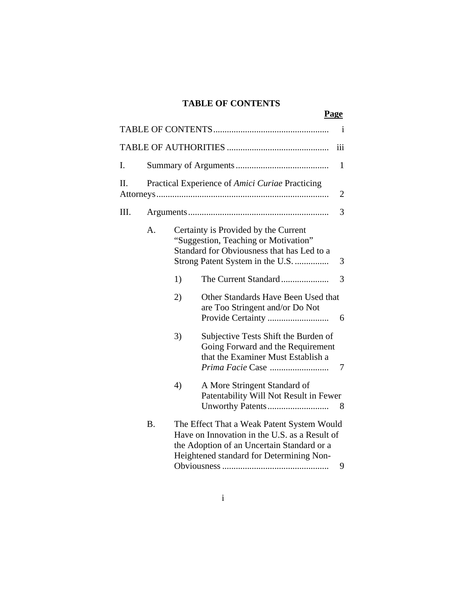# **TABLE OF CONTENTS**

|    |                                                                                                                                                                                                    |                                                                                                                                                                | Page                                                                                                                                |     |
|----|----------------------------------------------------------------------------------------------------------------------------------------------------------------------------------------------------|----------------------------------------------------------------------------------------------------------------------------------------------------------------|-------------------------------------------------------------------------------------------------------------------------------------|-----|
|    |                                                                                                                                                                                                    |                                                                                                                                                                |                                                                                                                                     | 1   |
|    |                                                                                                                                                                                                    |                                                                                                                                                                |                                                                                                                                     | iii |
| I. |                                                                                                                                                                                                    |                                                                                                                                                                |                                                                                                                                     | 1   |
| Π. | Practical Experience of Amici Curiae Practicing                                                                                                                                                    |                                                                                                                                                                |                                                                                                                                     |     |
| Ш. |                                                                                                                                                                                                    |                                                                                                                                                                |                                                                                                                                     | 3   |
|    | A.                                                                                                                                                                                                 | Certainty is Provided by the Current<br>"Suggestion, Teaching or Motivation"<br>Standard for Obviousness that has Led to a<br>Strong Patent System in the U.S. |                                                                                                                                     | 3   |
|    |                                                                                                                                                                                                    | 1)                                                                                                                                                             | The Current Standard                                                                                                                | 3   |
|    |                                                                                                                                                                                                    | 2)                                                                                                                                                             | Other Standards Have Been Used that<br>are Too Stringent and/or Do Not                                                              | 6   |
|    |                                                                                                                                                                                                    | 3)                                                                                                                                                             | Subjective Tests Shift the Burden of<br>Going Forward and the Requirement<br>that the Examiner Must Establish a<br>Prima Facie Case | 7   |
|    |                                                                                                                                                                                                    | 4)                                                                                                                                                             | A More Stringent Standard of<br>Patentability Will Not Result in Fewer<br>Unworthy Patents                                          | 8   |
|    | The Effect That a Weak Patent System Would<br><b>B.</b><br>Have on Innovation in the U.S. as a Result of<br>the Adoption of an Uncertain Standard or a<br>Heightened standard for Determining Non- |                                                                                                                                                                |                                                                                                                                     |     |

i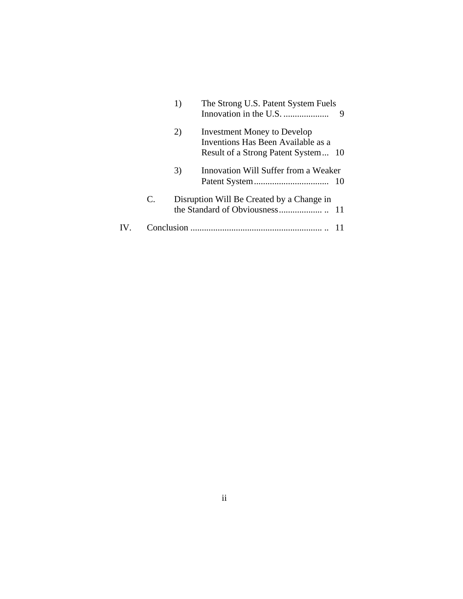|                   |    | 1) | The Strong U.S. Patent System Fuels                                                                             |
|-------------------|----|----|-----------------------------------------------------------------------------------------------------------------|
|                   |    | 2) | <b>Investment Money to Develop</b><br>Inventions Has Been Available as a<br>Result of a Strong Patent System 10 |
|                   |    | 3) | Innovation Will Suffer from a Weaker                                                                            |
|                   | C. |    | Disruption Will Be Created by a Change in                                                                       |
| $\mathbf{IV}_{-}$ |    |    |                                                                                                                 |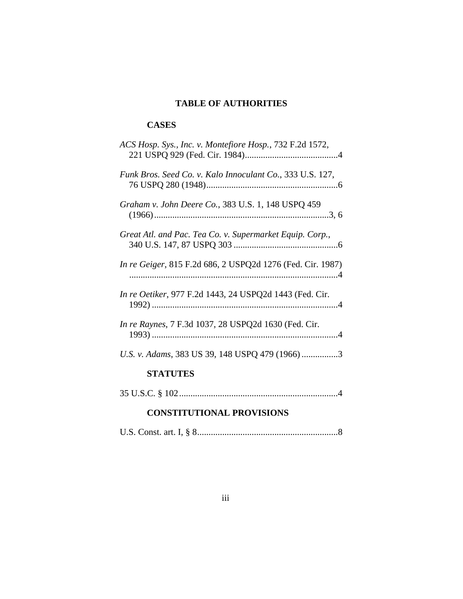# **TABLE OF AUTHORITIES**

# **CASES**

# **CONSTITUTIONAL PROVISIONS**

|--|--|--|--|--|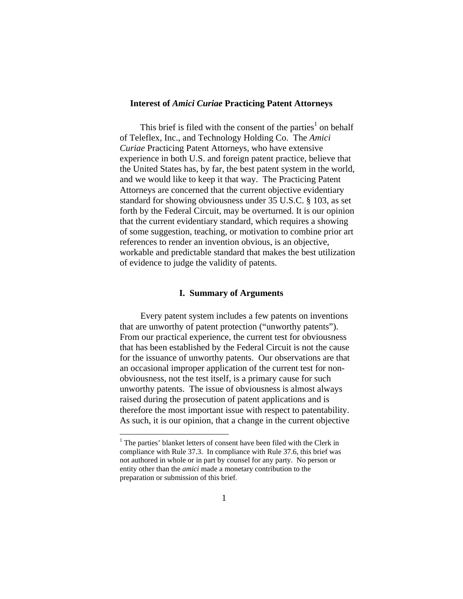#### **Interest of** *Amici Curiae* **Practicing Patent Attorneys**

This brief is filed with the consent of the parties<sup>1</sup> on behalf of Teleflex, Inc., and Technology Holding Co. The *Amici Curiae* Practicing Patent Attorneys, who have extensive experience in both U.S. and foreign patent practice, believe that the United States has, by far, the best patent system in the world, and we would like to keep it that way. The Practicing Patent Attorneys are concerned that the current objective evidentiary standard for showing obviousness under 35 U.S.C. § 103, as set forth by the Federal Circuit, may be overturned. It is our opinion that the current evidentiary standard, which requires a showing of some suggestion, teaching, or motivation to combine prior art references to render an invention obvious, is an objective, workable and predictable standard that makes the best utilization of evidence to judge the validity of patents.

#### **I. Summary of Arguments**

Every patent system includes a few patents on inventions that are unworthy of patent protection ("unworthy patents"). From our practical experience, the current test for obviousness that has been established by the Federal Circuit is not the cause for the issuance of unworthy patents. Our observations are that an occasional improper application of the current test for nonobviousness, not the test itself, is a primary cause for such unworthy patents. The issue of obviousness is almost always raised during the prosecution of patent applications and is therefore the most important issue with respect to patentability. As such, it is our opinion, that a change in the current objective

 $\overline{a}$ 

<sup>&</sup>lt;sup>1</sup> The parties' blanket letters of consent have been filed with the Clerk in compliance with Rule 37.3. In compliance with Rule 37.6, this brief was not authored in whole or in part by counsel for any party. No person or entity other than the *amici* made a monetary contribution to the preparation or submission of this brief.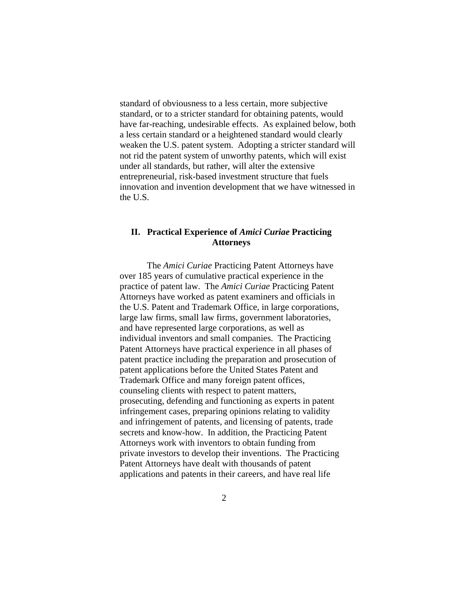standard of obviousness to a less certain, more subjective standard, or to a stricter standard for obtaining patents, would have far-reaching, undesirable effects. As explained below, both a less certain standard or a heightened standard would clearly weaken the U.S. patent system. Adopting a stricter standard will not rid the patent system of unworthy patents, which will exist under all standards, but rather, will alter the extensive entrepreneurial, risk-based investment structure that fuels innovation and invention development that we have witnessed in the U.S.

### **II. Practical Experience of** *Amici Curiae* **Practicing Attorneys**

The *Amici Curiae* Practicing Patent Attorneys have over 185 years of cumulative practical experience in the practice of patent law. The *Amici Curiae* Practicing Patent Attorneys have worked as patent examiners and officials in the U.S. Patent and Trademark Office, in large corporations, large law firms, small law firms, government laboratories, and have represented large corporations, as well as individual inventors and small companies. The Practicing Patent Attorneys have practical experience in all phases of patent practice including the preparation and prosecution of patent applications before the United States Patent and Trademark Office and many foreign patent offices, counseling clients with respect to patent matters, prosecuting, defending and functioning as experts in patent infringement cases, preparing opinions relating to validity and infringement of patents, and licensing of patents, trade secrets and know-how. In addition, the Practicing Patent Attorneys work with inventors to obtain funding from private investors to develop their inventions. The Practicing Patent Attorneys have dealt with thousands of patent applications and patents in their careers, and have real life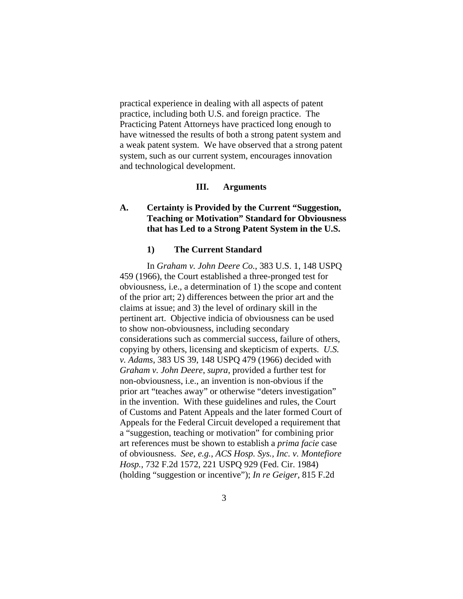practical experience in dealing with all aspects of patent practice, including both U.S. and foreign practice. The Practicing Patent Attorneys have practiced long enough to have witnessed the results of both a strong patent system and a weak patent system. We have observed that a strong patent system, such as our current system, encourages innovation and technological development.

#### **III. Arguments**

## **A. Certainty is Provided by the Current "Suggestion, Teaching or Motivation" Standard for Obviousness that has Led to a Strong Patent System in the U.S.**

#### **1) The Current Standard**

In *Graham v. John Deere Co.*, 383 U.S. 1, 148 USPQ 459 (1966), the Court established a three-pronged test for obviousness, i.e., a determination of 1) the scope and content of the prior art; 2) differences between the prior art and the claims at issue; and 3) the level of ordinary skill in the pertinent art. Objective indicia of obviousness can be used to show non-obviousness, including secondary considerations such as commercial success, failure of others, copying by others, licensing and skepticism of experts. *U.S. v. Adams*, 383 US 39, 148 USPQ 479 (1966) decided with *Graham v. John Deere*, *supra*, provided a further test for non-obviousness, i.e., an invention is non-obvious if the prior art "teaches away" or otherwise "deters investigation" in the invention. With these guidelines and rules, the Court of Customs and Patent Appeals and the later formed Court of Appeals for the Federal Circuit developed a requirement that a "suggestion, teaching or motivation" for combining prior art references must be shown to establish a *prima facie* case of obviousness. *See*, *e.g.*, *ACS Hosp. Sys., Inc. v. Montefiore Hosp.*, 732 F.2d 1572, 221 USPQ 929 (Fed. Cir. 1984) (holding "suggestion or incentive"); *In re Geiger*, 815 F.2d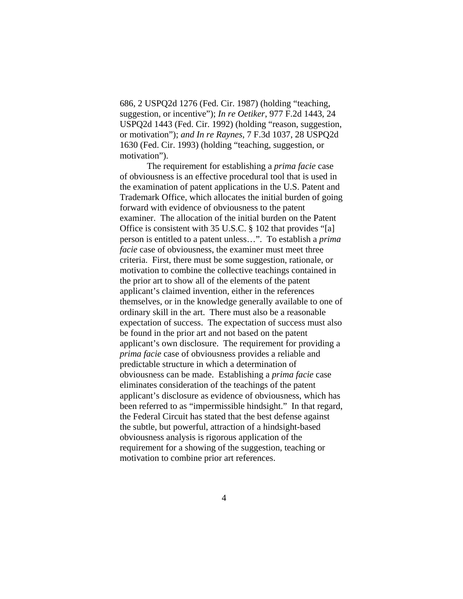686, 2 USPQ2d 1276 (Fed. Cir. 1987) (holding "teaching, suggestion, or incentive"); *In re Oetiker*, 977 F.2d 1443, 24 USPQ2d 1443 (Fed. Cir. 1992) (holding "reason, suggestion, or motivation"); *and In re Raynes*, 7 F.3d 1037, 28 USPQ2d 1630 (Fed. Cir. 1993) (holding "teaching, suggestion, or motivation").

The requirement for establishing a *prima facie* case of obviousness is an effective procedural tool that is used in the examination of patent applications in the U.S. Patent and Trademark Office, which allocates the initial burden of going forward with evidence of obviousness to the patent examiner. The allocation of the initial burden on the Patent Office is consistent with 35 U.S.C. § 102 that provides "[a] person is entitled to a patent unless…". To establish a *prima facie* case of obviousness, the examiner must meet three criteria. First, there must be some suggestion, rationale, or motivation to combine the collective teachings contained in the prior art to show all of the elements of the patent applicant's claimed invention, either in the references themselves, or in the knowledge generally available to one of ordinary skill in the art. There must also be a reasonable expectation of success. The expectation of success must also be found in the prior art and not based on the patent applicant's own disclosure. The requirement for providing a *prima facie* case of obviousness provides a reliable and predictable structure in which a determination of obviousness can be made. Establishing a *prima facie* case eliminates consideration of the teachings of the patent applicant's disclosure as evidence of obviousness, which has been referred to as "impermissible hindsight." In that regard, the Federal Circuit has stated that the best defense against the subtle, but powerful, attraction of a hindsight-based obviousness analysis is rigorous application of the requirement for a showing of the suggestion, teaching or motivation to combine prior art references.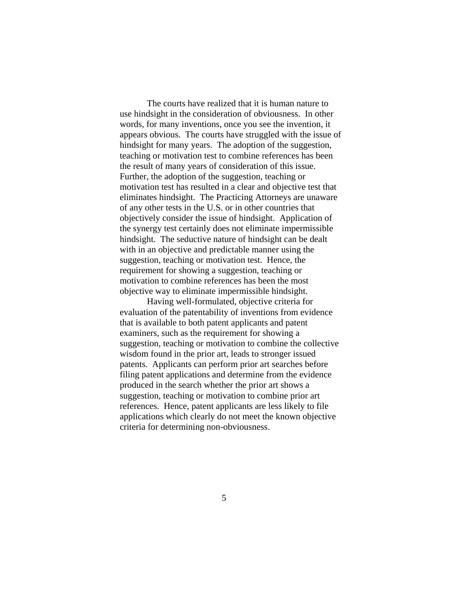The courts have realized that it is human nature to use hindsight in the consideration of obviousness. In other words, for many inventions, once you see the invention, it appears obvious. The courts have struggled with the issue of hindsight for many years. The adoption of the suggestion, teaching or motivation test to combine references has been the result of many years of consideration of this issue. Further, the adoption of the suggestion, teaching or motivation test has resulted in a clear and objective test that eliminates hindsight. The Practicing Attorneys are unaware of any other tests in the U.S. or in other countries that objectively consider the issue of hindsight. Application of the synergy test certainly does not eliminate impermissible hindsight. The seductive nature of hindsight can be dealt with in an objective and predictable manner using the suggestion, teaching or motivation test. Hence, the requirement for showing a suggestion, teaching or motivation to combine references has been the most objective way to eliminate impermissible hindsight.

Having well-formulated, objective criteria for evaluation of the patentability of inventions from evidence that is available to both patent applicants and patent examiners, such as the requirement for showing a suggestion, teaching or motivation to combine the collective wisdom found in the prior art, leads to stronger issued patents. Applicants can perform prior art searches before filing patent applications and determine from the evidence produced in the search whether the prior art shows a suggestion, teaching or motivation to combine prior art references. Hence, patent applicants are less likely to file applications which clearly do not meet the known objective criteria for determining non-obviousness.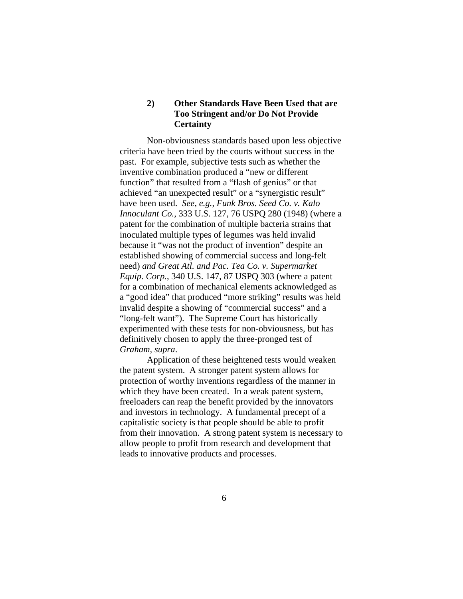# **2) Other Standards Have Been Used that are Too Stringent and/or Do Not Provide Certainty**

 Non-obviousness standards based upon less objective criteria have been tried by the courts without success in the past. For example, subjective tests such as whether the inventive combination produced a "new or different function" that resulted from a "flash of genius" or that achieved "an unexpected result" or a "synergistic result" have been used. *See*, *e.g.*, *Funk Bros. Seed Co. v. Kalo Innoculant Co.*, 333 U.S. 127, 76 USPQ 280 (1948) (where a patent for the combination of multiple bacteria strains that inoculated multiple types of legumes was held invalid because it "was not the product of invention" despite an established showing of commercial success and long-felt need) *and Great Atl. and Pac. Tea Co. v. Supermarket Equip. Corp.*, 340 U.S. 147, 87 USPQ 303 (where a patent for a combination of mechanical elements acknowledged as a "good idea" that produced "more striking" results was held invalid despite a showing of "commercial success" and a "long-felt want"). The Supreme Court has historically experimented with these tests for non-obviousness, but has definitively chosen to apply the three-pronged test of *Graham, supra*.

 Application of these heightened tests would weaken the patent system. A stronger patent system allows for protection of worthy inventions regardless of the manner in which they have been created. In a weak patent system, freeloaders can reap the benefit provided by the innovators and investors in technology. A fundamental precept of a capitalistic society is that people should be able to profit from their innovation. A strong patent system is necessary to allow people to profit from research and development that leads to innovative products and processes.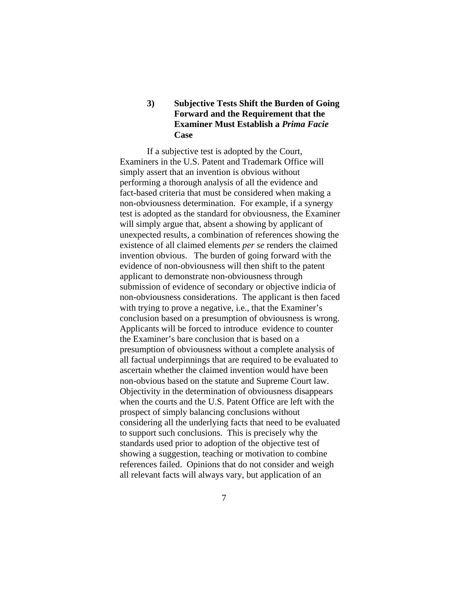# **3) Subjective Tests Shift the Burden of Going Forward and the Requirement that the Examiner Must Establish a** *Prima Facie*  **Case**

 If a subjective test is adopted by the Court, Examiners in the U.S. Patent and Trademark Office will simply assert that an invention is obvious without performing a thorough analysis of all the evidence and fact-based criteria that must be considered when making a non-obviousness determination. For example, if a synergy test is adopted as the standard for obviousness, the Examiner will simply argue that, absent a showing by applicant of unexpected results, a combination of references showing the existence of all claimed elements *per se* renders the claimed invention obvious. The burden of going forward with the evidence of non-obviousness will then shift to the patent applicant to demonstrate non-obviousness through submission of evidence of secondary or objective indicia of non-obviousness considerations. The applicant is then faced with trying to prove a negative, i.e., that the Examiner's conclusion based on a presumption of obviousness is wrong. Applicants will be forced to introduce evidence to counter the Examiner's bare conclusion that is based on a presumption of obviousness without a complete analysis of all factual underpinnings that are required to be evaluated to ascertain whether the claimed invention would have been non-obvious based on the statute and Supreme Court law. Objectivity in the determination of obviousness disappears when the courts and the U.S. Patent Office are left with the prospect of simply balancing conclusions without considering all the underlying facts that need to be evaluated to support such conclusions. This is precisely why the standards used prior to adoption of the objective test of showing a suggestion, teaching or motivation to combine references failed. Opinions that do not consider and weigh all relevant facts will always vary, but application of an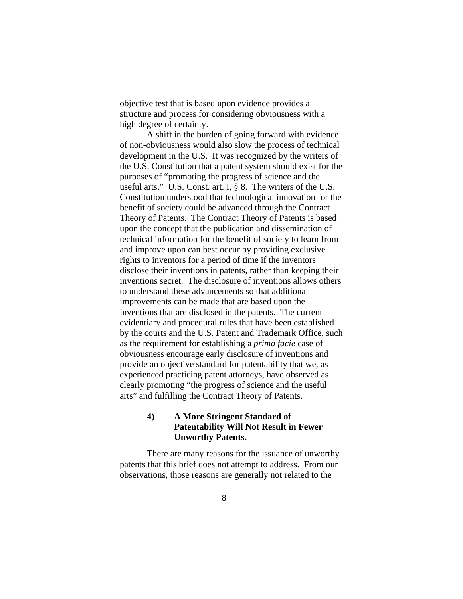objective test that is based upon evidence provides a structure and process for considering obviousness with a high degree of certainty.

 A shift in the burden of going forward with evidence of non-obviousness would also slow the process of technical development in the U.S. It was recognized by the writers of the U.S. Constitution that a patent system should exist for the purposes of "promoting the progress of science and the useful arts." U.S. Const. art. I, § 8. The writers of the U.S. Constitution understood that technological innovation for the benefit of society could be advanced through the Contract Theory of Patents. The Contract Theory of Patents is based upon the concept that the publication and dissemination of technical information for the benefit of society to learn from and improve upon can best occur by providing exclusive rights to inventors for a period of time if the inventors disclose their inventions in patents, rather than keeping their inventions secret. The disclosure of inventions allows others to understand these advancements so that additional improvements can be made that are based upon the inventions that are disclosed in the patents. The current evidentiary and procedural rules that have been established by the courts and the U.S. Patent and Trademark Office, such as the requirement for establishing a *prima facie* case of obviousness encourage early disclosure of inventions and provide an objective standard for patentability that we, as experienced practicing patent attorneys, have observed as clearly promoting "the progress of science and the useful arts" and fulfilling the Contract Theory of Patents.

## **4) A More Stringent Standard of Patentability Will Not Result in Fewer Unworthy Patents.**

 There are many reasons for the issuance of unworthy patents that this brief does not attempt to address. From our observations, those reasons are generally not related to the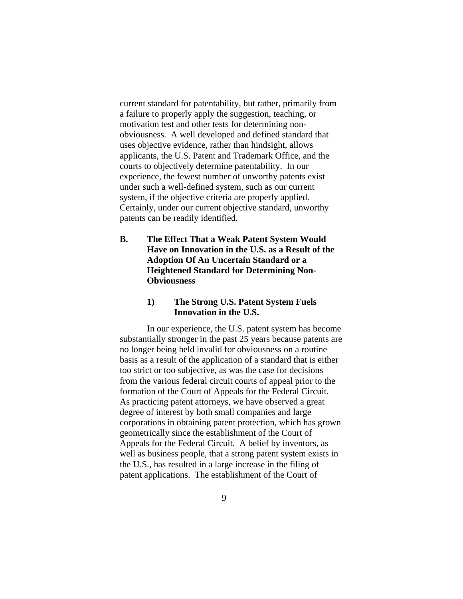current standard for patentability, but rather, primarily from a failure to properly apply the suggestion, teaching, or motivation test and other tests for determining nonobviousness. A well developed and defined standard that uses objective evidence, rather than hindsight, allows applicants, the U.S. Patent and Trademark Office, and the courts to objectively determine patentability. In our experience, the fewest number of unworthy patents exist under such a well-defined system, such as our current system, if the objective criteria are properly applied. Certainly, under our current objective standard, unworthy patents can be readily identified.

**B. The Effect That a Weak Patent System Would Have on Innovation in the U.S. as a Result of the Adoption Of An Uncertain Standard or a Heightened Standard for Determining Non-Obviousness** 

## **1) The Strong U.S. Patent System Fuels Innovation in the U.S.**

In our experience, the U.S. patent system has become substantially stronger in the past 25 years because patents are no longer being held invalid for obviousness on a routine basis as a result of the application of a standard that is either too strict or too subjective, as was the case for decisions from the various federal circuit courts of appeal prior to the formation of the Court of Appeals for the Federal Circuit. As practicing patent attorneys, we have observed a great degree of interest by both small companies and large corporations in obtaining patent protection, which has grown geometrically since the establishment of the Court of Appeals for the Federal Circuit. A belief by inventors, as well as business people, that a strong patent system exists in the U.S., has resulted in a large increase in the filing of patent applications. The establishment of the Court of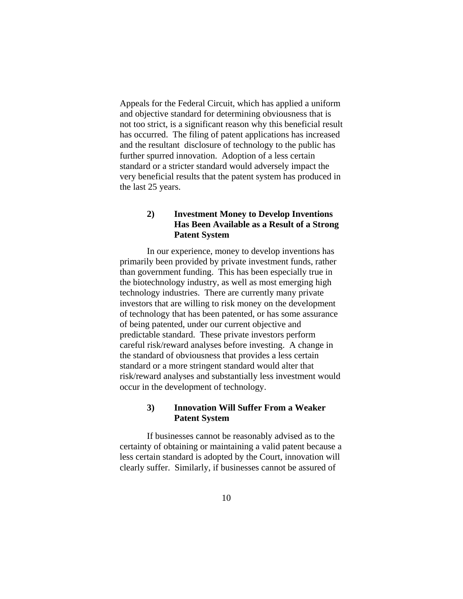Appeals for the Federal Circuit, which has applied a uniform and objective standard for determining obviousness that is not too strict, is a significant reason why this beneficial result has occurred. The filing of patent applications has increased and the resultant disclosure of technology to the public has further spurred innovation. Adoption of a less certain standard or a stricter standard would adversely impact the very beneficial results that the patent system has produced in the last 25 years.

# **2) Investment Money to Develop Inventions Has Been Available as a Result of a Strong Patent System**

In our experience, money to develop inventions has primarily been provided by private investment funds, rather than government funding. This has been especially true in the biotechnology industry, as well as most emerging high technology industries. There are currently many private investors that are willing to risk money on the development of technology that has been patented, or has some assurance of being patented, under our current objective and predictable standard. These private investors perform careful risk/reward analyses before investing. A change in the standard of obviousness that provides a less certain standard or a more stringent standard would alter that risk/reward analyses and substantially less investment would occur in the development of technology.

## **3) Innovation Will Suffer From a Weaker Patent System**

If businesses cannot be reasonably advised as to the certainty of obtaining or maintaining a valid patent because a less certain standard is adopted by the Court, innovation will clearly suffer. Similarly, if businesses cannot be assured of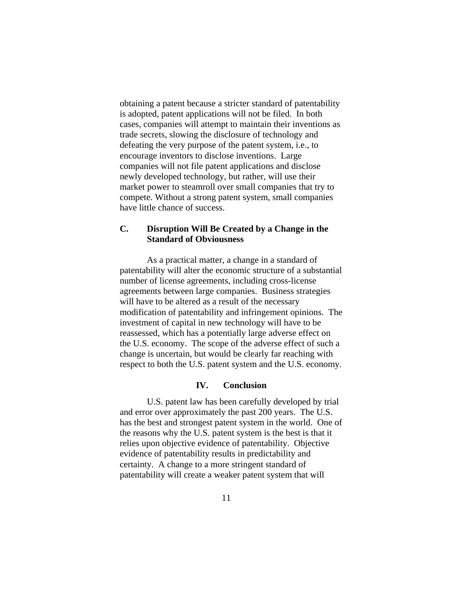obtaining a patent because a stricter standard of patentability is adopted, patent applications will not be filed. In both cases, companies will attempt to maintain their inventions as trade secrets, slowing the disclosure of technology and defeating the very purpose of the patent system, i.e., to encourage inventors to disclose inventions. Large companies will not file patent applications and disclose newly developed technology, but rather, will use their market power to steamroll over small companies that try to compete. Without a strong patent system, small companies have little chance of success.

## **C. Disruption Will Be Created by a Change in the Standard of Obviousness**

As a practical matter, a change in a standard of patentability will alter the economic structure of a substantial number of license agreements, including cross-license agreements between large companies. Business strategies will have to be altered as a result of the necessary modification of patentability and infringement opinions. The investment of capital in new technology will have to be reassessed, which has a potentially large adverse effect on the U.S. economy. The scope of the adverse effect of such a change is uncertain, but would be clearly far reaching with respect to both the U.S. patent system and the U.S. economy.

#### **IV. Conclusion**

U.S. patent law has been carefully developed by trial and error over approximately the past 200 years. The U.S. has the best and strongest patent system in the world. One of the reasons why the U.S. patent system is the best is that it relies upon objective evidence of patentability. Objective evidence of patentability results in predictability and certainty. A change to a more stringent standard of patentability will create a weaker patent system that will